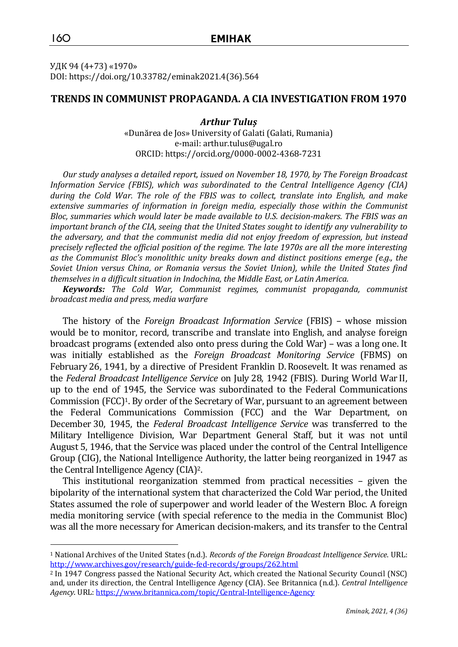УДК 94 (4+73) «1970» DOI: https://doi.org/10.33782/eminak2021.4(36).564

### **TRENDS IN COMMUNIST PROPAGANDA. A CIA INVESTIGATION FROM 1970**

*Arthur Tuluș* «Dunărea de Jos» University of Galati (Galati, Rumania) e-mail: arthur.tulus@ugal.ro ORCID: https://orcid.org/0000-0002-4368-7231

*Our study analyses a detailed report, issued on November 18, 1970, by The Foreign Broadcast Information Service (FBIS), which was subordinated to the Central Intelligence Agency (CIA) during the Cold War. The role of the FBIS was to collect, translate into English, and make*  extensive summaries of information in foreign media, especially those within the Communist *Bloc, summaries which would later be made available to U.S. decision-makers. The FBIS was an important branch of the CIA, seeing that the United States sought to identify any vulnerability to the adversary, and that the communist media did not enjoy freedom of expression, but instead precisely reflected the official position of the regime. The late 1970s are all the more interesting as the Communist Bloc's monolithic unity breaks down and distinct positions emerge (e.g., the Soviet Union versus China, or Romania versus the Soviet Union), while the United States find themselves in a difficult situation in Indochina, the Middle East, or Latin America.*

*Keywords: The Cold War, Communist regimes, communist propaganda, communist broadcast media and press, media warfare*

The history of the *Foreign Broadcast Information Service* (FBIS) – whose mission would be to monitor, record, transcribe and translate into English, and analyse foreign broadcast programs (extended also onto press during the Cold War) – was a long one. It was initially established as the *Foreign Broadcast Monitoring Service* (FBMS) on February 26, 1941, by a directive of President Franklin D.Roosevelt. It was renamed as the *Federal Broadcast Intelligence Service* on July 28, 1942 (FBIS). During World War II, up to the end of 1945, the Service was subordinated to the Federal Communications Commission (FCC)1. By order of the Secretary of War, pursuant to an agreement between the Federal Communications Commission (FCC) and the War Department, on December 30, 1945, the *Federal Broadcast Intelligence Service* was transferred to the Military Intelligence Division, War Department General Staff, but it was not until August 5, 1946, that the Service was placed under the control of the Central Intelligence Group (CIG), the National Intelligence Authority, the latter being reorganized in 1947 as the Central Intelligence Agency (CIA)2.

This institutional reorganization stemmed from practical necessities – given the bipolarity of the international system that characterized the Cold War period, the United States assumed the role of superpower and world leader of the Western Bloc. A foreign media monitoring service (with special reference to the media in the Communist Bloc) was all the more necessary for American decision-makers, and its transfer to the Central

<sup>1</sup> National Archives of the United States (n.d.). *Records of the Foreign Broadcast Intelligence Service*. URL: http://www.archives.gov/research/guide-fed-records/groups/262.html

<sup>2</sup> In 1947 Congress passed the National Security Act, which created the National Security Council (NSC) and, under its direction, the Central Intelligence Agency (CIA). See Britannica (n.d.). *Central Intelligence Agency*. URL: https://www.britannica.com/topic/Central-Intelligence-Agency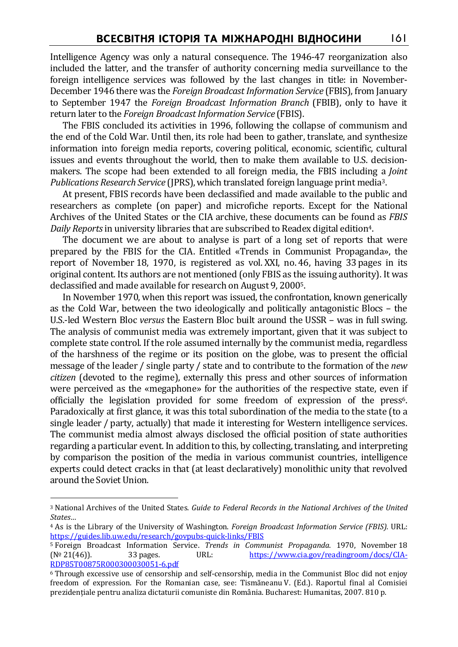Intelligence Agency was only a natural consequence. The 1946-47 reorganization also included the latter, and the transfer of authority concerning media surveillance to the foreign intelligence services was followed by the last changes in title: in November-December 1946 there was the *Foreign Broadcast Information Service* (FBIS), from January to September 1947 the *Foreign Broadcast Information Branch* (FBIB), only to have it return later to the *Foreign Broadcast Information Service* (FBIS).

The FBIS concluded its activities in 1996, following the collapse of communism and the end of the Cold War. Until then, its role had been to gather, translate, and synthesize information into foreign media reports, covering political, economic, scientific, cultural issues and events throughout the world, then to make them available to U.S. decisionmakers. The scope had been extended to all foreign media, the FBIS including a *Joint Publications Research Service* (JPRS), which translated foreign language print media3.

At present, FBIS records have been declassified and made available to the public and researchers as complete (on paper) and microfiche reports. Except for the National Archives of the United States or the CIA archive, these documents can be found as *FBIS Daily Reports* in university libraries that are subscribed to Readex digital edition4.

The document we are about to analyse is part of a long set of reports that were prepared by the FBIS for the CIA. Entitled «Trends in Communist Propaganda», the report of November 18, 1970, is registered as vol. XXI, no. 46, having 33 pages in its original content. Its authors are not mentioned (only FBIS as the issuing authority). It was declassified and made available for research on August 9, 20005.

In November 1970, when this report was issued, the confrontation, known generically as the Cold War, between the two ideologically and politically antagonistic Blocs – the U.S.-led Western Bloc *versus* the Eastern Bloc built around the USSR – was in full swing. The analysis of communist media was extremely important, given that it was subject to complete state control. If the role assumed internally by the communist media, regardless of the harshness of the regime or its position on the globe, was to present the official message of the leader / single party / state and to contribute to the formation of the *new citizen* (devoted to the regime), externally this press and other sources of information were perceived as the «megaphone» for the authorities of the respective state, even if officially the legislation provided for some freedom of expression of the press6. Paradoxically at first glance, it was this total subordination of the media to the state (to a single leader / party, actually) that made it interesting for Western intelligence services. The communist media almost always disclosed the official position of state authorities regarding a particular event. In addition to this, by collecting, translating, and interpreting by comparison the position of the media in various communist countries, intelligence experts could detect cracks in that (at least declaratively) monolithic unity that revolved around the Soviet Union.

<sup>3</sup> National Archives of the United States. *Guide to Federal Records in the National Archives of the United States…*

<sup>4</sup> As is the Library of the University of Washington. *Foreign Broadcast Information Service (FBIS).* URL: https://guides.lib.uw.edu/research/govpubs-quick-links/FBIS

<sup>5</sup> Foreign Broadcast Information Service. *Trends in Communist Propaganda*. 1970, November 18 (№ 21(46)). 33 pages. URL: https://www.cia.gov/readingroom/docs/CIA-RDP85T00875R000300030051-6.pdf

<sup>6</sup> Through excessive use of censorship and self-censorship, media in the Communist Bloc did not enjoy freedom of expression. For the Romanian case, see: Tismăneanu V. (Ed.). Raportul final al Comisiei prezidențiale pentru analiza dictaturii comuniste din România. Bucharest: Humanitas, 2007. 810 p.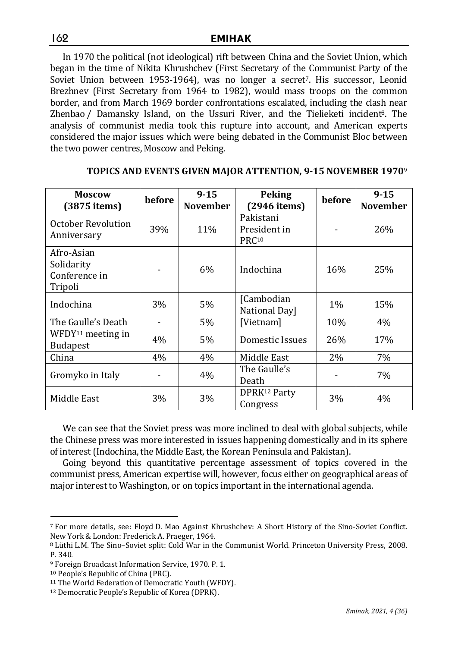In 1970 the political (not ideological) rift between China and the Soviet Union, which began in the time of Nikita Khrushchev (First Secretary of the Communist Party of the Soviet Union between 1953-1964), was no longer a secret7. His successor, Leonid Brezhnev (First Secretary from 1964 to 1982), would mass troops on the common border, and from March 1969 border confrontations escalated, including the clash near Zhenbao / Damansky Island, on the Ussuri River, and the Tielieketi incident<sup>8</sup>. The analysis of communist media took this rupture into account, and American experts considered the major issues which were being debated in the Communist Bloc between the two power centres, Moscow and Peking.

| <b>Moscow</b><br>$(3875$ items)                      | before | $9 - 15$<br><b>November</b> | <b>Peking</b><br>$(2946$ items)                | before | $9 - 15$<br><b>November</b> |
|------------------------------------------------------|--------|-----------------------------|------------------------------------------------|--------|-----------------------------|
| October Revolution<br>Anniversary                    | 39%    | 11%                         | Pakistani<br>President in<br>PRC <sup>10</sup> |        | 26%                         |
| Afro-Asian<br>Solidarity<br>Conference in<br>Tripoli |        | $6\%$                       | Indochina                                      | 16%    | 25%                         |
| Indochina                                            | 3%     | 5%                          | [Cambodian]<br><b>National Day</b>             | $1\%$  | 15%                         |
| The Gaulle's Death                                   |        | $5\%$                       | [Vietnam]                                      | 10%    | 4%                          |
| WFDY <sup>11</sup> meeting in<br><b>Budapest</b>     | 4%     | $5\%$                       | Domestic Issues                                | 26%    | 17%                         |
| China                                                | 4%     | $4\%$                       | Middle East                                    | 2%     | 7%                          |
| Gromyko in Italy                                     |        | 4%                          | The Gaulle's<br>Death                          |        | 7%                          |
| Middle East                                          | 3%     | $3\%$                       | DPRK <sup>12</sup> Party<br>Congress           | $3\%$  | $4\%$                       |

# **TOPICS AND EVENTS GIVEN MAJOR ATTENTION, 9-15 NOVEMBER 1970**<sup>9</sup>

We can see that the Soviet press was more inclined to deal with global subjects, while the Chinese press was more interested in issues happening domestically and in its sphere of interest (Indochina, the Middle East, the Korean Peninsula and Pakistan).

Going beyond this quantitative percentage assessment of topics covered in the communist press, American expertise will, however, focus either on geographical areas of major interest to Washington, or on topics important in the international agenda.

162

 $\overline{a}$ <sup>7</sup> For more details, see: Floyd D. Mao Against Khrushchev: A Short History of the Sino-Soviet Conflict. New York & London: Frederick A. Praeger, 1964.

<sup>8</sup> Lüthi L.M. The Sino–Soviet split: Cold War in the Communist World. Princeton University Press, 2008. P. 340.

<sup>9</sup> Foreign Broadcast Information Service, 1970. P. 1.

<sup>10</sup> People's Republic of China (PRC).

<sup>11</sup> The World Federation of Democratic Youth (WFDY).

<sup>12</sup> Democratic People's Republic of Korea (DPRK).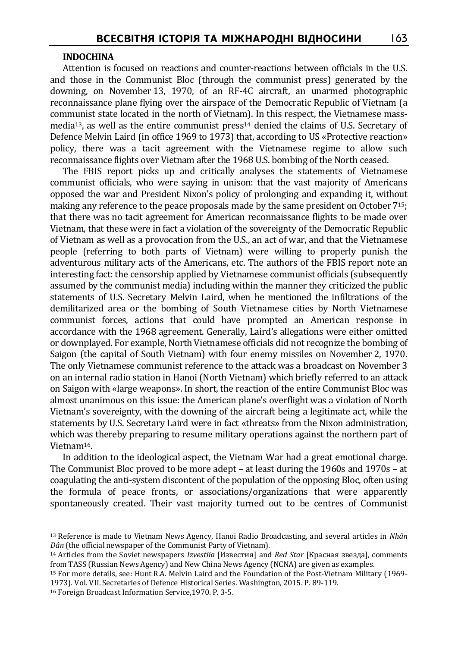### **INDOCHINA**

Attention is focused on reactions and counter-reactions between officials in the U.S. and those in the Communist Bloc (through the communist press) generated by the downing, on November 13, 1970, of an RF-4C aircraft, an unarmed photographic reconnaissance plane flying over the airspace of the Democratic Republic of Vietnam (a communist state located in the north of Vietnam). In this respect, the Vietnamese massmedia<sup>13</sup>, as well as the entire communist press<sup>14</sup> denied the claims of U.S. Secretary of Defence Melvin Laird (in office 1969 to 1973) that, according to US «Protective reaction» policy, there was a tacit agreement with the Vietnamese regime to allow such reconnaissance flights over Vietnam after the 1968 U.S. bombing of the North ceased.

The FBIS report picks up and critically analyses the statements of Vietnamese communist officials, who were saying in unison: that the vast majority of Americans opposed the war and President Nixon's policy of prolonging and expanding it, without making any reference to the peace proposals made by the same president on October715; that there was no tacit agreement for American reconnaissance flights to be made over Vietnam, that these were in fact a violation of the sovereignty of the Democratic Republic of Vietnam as well as a provocation from the U.S., an act of war, and that the Vietnamese people (referring to both parts of Vietnam) were willing to properly punish the adventurous military acts of the Americans, etc. The authors of the FBIS report note an interesting fact: the censorship applied by Vietnamese communist officials (subsequently assumed by the communist media) including within the manner they criticized the public statements of U.S. Secretary Melvin Laird, when he mentioned the infiltrations of the demilitarized area or the bombing of South Vietnamese cities by North Vietnamese communist forces, actions that could have prompted an American response in accordance with the 1968 agreement. Generally, Laird's allegations were either omitted or downplayed. For example, North Vietnamese officials did not recognize the bombing of Saigon (the capital of South Vietnam) with four enemy missiles on November 2, 1970. The only Vietnamese communist reference to the attack was a broadcast on November 3 on an internal radio station in Hanoi (North Vietnam) which briefly referred to an attack on Saigon with «large weapons». In short, the reaction of the entire Communist Bloc was almost unanimous on this issue: the American plane's overflight was a violation of North Vietnam's sovereignty, with the downing of the aircraft being a legitimate act, while the statements by U.S. Secretary Laird were in fact «threats» from the Nixon administration, which was thereby preparing to resume military operations against the northern part of Vietnam16.

In addition to the ideological aspect, the Vietnam War had a great emotional charge. The Communist Bloc proved to be more adept – at least during the 1960s and 1970s – at coagulating the anti-system discontent of the population of the opposing Bloc, often using the formula of peace fronts, or associations/organizations that were apparently spontaneously created. Their vast majority turned out to be centres of Communist

<sup>13</sup> Reference is made to Vietnam News Agency, Hanoi Radio Broadcasting, and several articles in *Nhân Dân* (the official newspaper of the Communist Party of Vietnam).

<sup>14</sup> Articles from the Soviet newspapers *Izvestiia* [Известия] and *Red Star* [Красная звезда], comments from TASS (Russian News Agency) and New China News Agency (NCNA) are given as examples.

<sup>15</sup> For more details, see: Hunt R.A. Melvin Laird and the Foundation of the Post-Vietnam Military (1969- 1973). Vol. VII. Secretaries of Defence Historical Series. Washington, 2015. P. 89-119.

<sup>16</sup> Foreign Broadcast Information Service,1970. P. 3-5.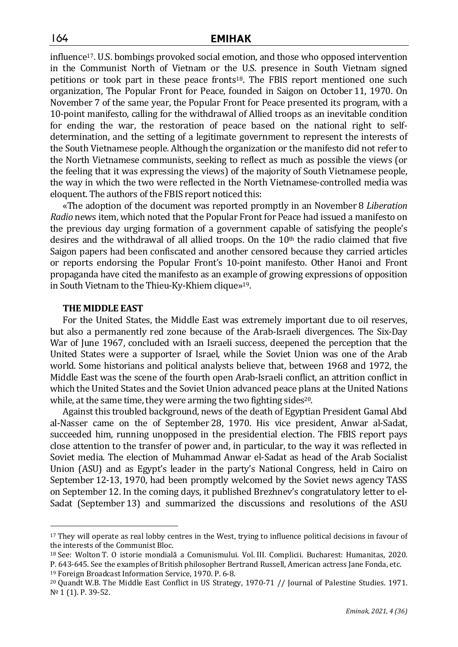influence17. U.S. bombings provoked social emotion, and those who opposed intervention in the Communist North of Vietnam or the U.S. presence in South Vietnam signed petitions or took part in these peace fronts18. The FBIS report mentioned one such organization, The Popular Front for Peace, founded in Saigon on October 11, 1970. On November 7 of the same year, the Popular Front for Peace presented its program, with a 10-point manifesto, calling for the withdrawal of Allied troops as an inevitable condition for ending the war, the restoration of peace based on the national right to selfdetermination, and the setting of a legitimate government to represent the interests of the South Vietnamese people. Although the organization or the manifesto did not refer to the North Vietnamese communists, seeking to reflect as much as possible the views (or the feeling that it was expressing the views) of the majority of South Vietnamese people, the way in which the two were reflected in the North Vietnamese-controlled media was eloquent. The authors of the FBIS report noticed this:

«The adoption of the document was reported promptly in an November 8 *Liberation Radio* news item, which noted that the Popular Front for Peace had issued a manifesto on the previous day urging formation of a government capable of satisfying the people's desires and the withdrawal of all allied troops. On the  $10<sup>th</sup>$  the radio claimed that five Saigon papers had been confiscated and another censored because they carried articles or reports endorsing the Popular Front's 10-point manifesto. Other Hanoi and Front propaganda have cited the manifesto as an example of growing expressions of opposition in South Vietnam to the Thieu-Ky-Khiem clique»19.

### **THE MIDDLE EAST**

 $\overline{a}$ 

For the United States, the Middle East was extremely important due to oil reserves, but also a permanently red zone because of the Arab-Israeli divergences. The Six-Day War of June 1967, concluded with an Israeli success, deepened the perception that the United States were a supporter of Israel, while the Soviet Union was one of the Arab world. Some historians and political analysts believe that, between 1968 and 1972, the Middle East was the scene of the fourth open Arab-Israeli conflict, an attrition conflict in which the United States and the Soviet Union advanced peace plans at the United Nations while, at the same time, they were arming the two fighting sides<sup>20</sup>.

Against this troubled background, news of the death of Egyptian President Gamal Abd al-Nasser came on the of September 28, 1970. His vice president, Anwar al-Sadat, succeeded him, running unopposed in the presidential election. The FBIS report pays close attention to the transfer of power and, in particular, to the way it was reflected in Soviet media. The election of Muhammad Anwar el-Sadat as head of the Arab Socialist Union (ASU) and as Egypt's leader in the party's National Congress, held in Cairo on September 12-13, 1970, had been promptly welcomed by the Soviet news agency TASS on September 12. In the coming days, it published Brezhnev's congratulatory letter to el-Sadat (September 13) and summarized the discussions and resolutions of the ASU

<sup>17</sup> They will operate as real lobby centres in the West, trying to influence political decisions in favour of the interests of the Communist Bloc.

<sup>18</sup> See: Wolton T. O istorie mondială a Comunismului. Vol. III. Complicii. Bucharest: Humanitas, 2020. P. 643-645. See the examples of British philosopher Bertrand Russell, American actress Jane Fonda, etc.

<sup>19</sup> Foreign Broadcast Information Service, 1970. P. 6-8.

<sup>20</sup> Quandt W.B. The Middle East Conflict in US Strategy, 1970-71 // Journal of Palestine Studies. 1971. № 1 (1). P. 39-52.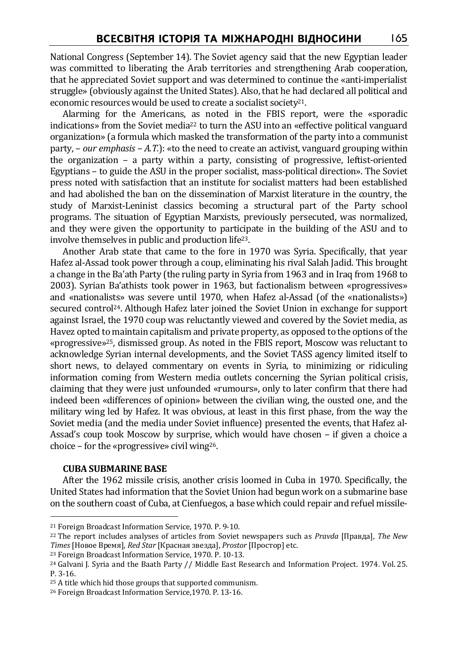National Congress (September 14). The Soviet agency said that the new Egyptian leader was committed to liberating the Arab territories and strengthening Arab cooperation, that he appreciated Soviet support and was determined to continue the «anti-imperialist struggle» (obviously against the United States). Also, that he had declared all political and economic resources would be used to create a socialist society<sup>21</sup>.

Alarming for the Americans, as noted in the FBIS report, were the «sporadic indications» from the Soviet media<sup>22</sup> to turn the ASU into an «effective political vanguard organization» (a formula which masked the transformation of the party into a communist party, – *our emphasis – A.T.*): «to the need to create an activist, vanguard grouping within the organization – a party within a party, consisting of progressive, leftist-oriented Egyptians – to guide the ASU in the proper socialist, mass-political direction». The Soviet press noted with satisfaction that an institute for socialist matters had been established and had abolished the ban on the dissemination of Marxist literature in the country, the study of Marxist-Leninist classics becoming a structural part of the Party school programs. The situation of Egyptian Marxists, previously persecuted, was normalized, and they were given the opportunity to participate in the building of the ASU and to involve themselves in public and production life23.

Another Arab state that came to the fore in 1970 was Syria. Specifically, that year Hafez al-Assad took power through a coup, eliminating his rival Salah Jadid. This brought a change in the Ba'ath Party (the ruling party in Syria from 1963 and in Iraq from 1968 to 2003). Syrian Ba'athists took power in 1963, but factionalism between «progressives» and «nationalists» was severe until 1970, when Hafez al-Assad (of the «nationalists») secured control24. Although Hafez later joined the Soviet Union in exchange for support against Israel, the 1970 coup was reluctantly viewed and covered by the Soviet media, as Havez opted to maintain capitalism and private property, as opposed to the options of the «progressive»25, dismissed group. As noted in the FBIS report, Moscow was reluctant to acknowledge Syrian internal developments, and the Soviet TASS agency limited itself to short news, to delayed commentary on events in Syria, to minimizing or ridiculing information coming from Western media outlets concerning the Syrian political crisis, claiming that they were just unfounded «rumours», only to later confirm that there had indeed been «differences of opinion» between the civilian wing, the ousted one, and the military wing led by Hafez. It was obvious, at least in this first phase, from the way the Soviet media (and the media under Soviet influence) presented the events, that Hafez al-Assad's coup took Moscow by surprise, which would have chosen – if given a choice a choice – for the «progressive» civil wing26.

### **CUBA SUBMARINE BASE**

 $\overline{a}$ 

After the 1962 missile crisis, another crisis loomed in Cuba in 1970. Specifically, the United States had information that the Soviet Union had begun work on a submarine base on the southern coast of Cuba, at Cienfuegos, a base which could repair and refuel missile-

<sup>21</sup> Foreign Broadcast Information Service, 1970. P. 9-10.

<sup>22</sup> The report includes analyses of articles from Soviet newspapers such as *Pravda* [Правда], *The New Times* [Новое Время], *Red Star* [Красная звезда], *Prostor* [Простор] etc.

<sup>23</sup> Foreign Broadcast Information Service, 1970. P. 10-13.

<sup>24</sup> Galvani J. Syria and the Baath Party // Middle East Research and Information Project. 1974. Vol. 25. P. 3-16.

<sup>25</sup> A title which hid those groups that supported communism.

<sup>26</sup> Foreign Broadcast Information Service,1970. P. 13-16.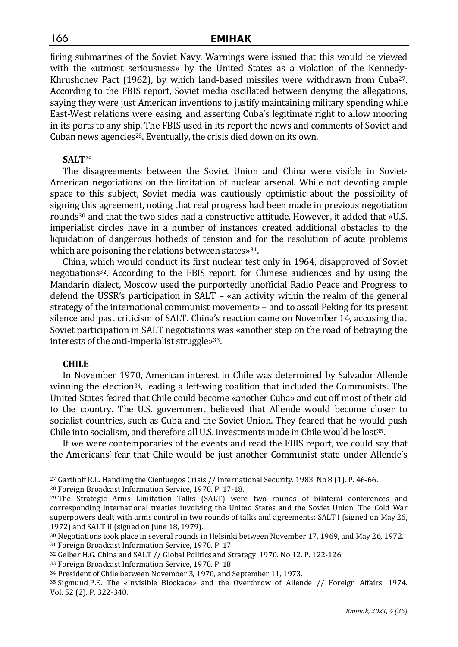firing submarines of the Soviet Navy. Warnings were issued that this would be viewed with the «utmost seriousness» by the United States as a violation of the Kennedy-Khrushchev Pact (1962), by which land-based missiles were withdrawn from Cuba27. According to the FBIS report, Soviet media oscillated between denying the allegations, saying they were just American inventions to justify maintaining military spending while East-West relations were easing, and asserting Cuba's legitimate right to allow mooring in its ports to any ship. The FBIS used in its report the news and comments of Soviet and Cuban news agencies<sup>28</sup>. Eventually, the crisis died down on its own.

### **SALT**<sup>29</sup>

The disagreements between the Soviet Union and China were visible in Soviet-American negotiations on the limitation of nuclear arsenal. While not devoting ample space to this subject, Soviet media was cautiously optimistic about the possibility of signing this agreement, noting that real progress had been made in previous negotiation rounds<sup>30</sup> and that the two sides had a constructive attitude. However, it added that «U.S. imperialist circles have in a number of instances created additional obstacles to the liquidation of dangerous hotbeds of tension and for the resolution of acute problems which are poisoning the relations between states»<sup>31</sup>.

China, which would conduct its first nuclear test only in 1964, disapproved of Soviet negotiations32. According to the FBIS report, for Chinese audiences and by using the Mandarin dialect, Moscow used the purportedly unofficial Radio Peace and Progress to defend the USSR's participation in SALT – «an activity within the realm of the general strategy of the international communist movement» – and to assail Peking for its present silence and past criticism of SALT. China's reaction came on November 14, accusing that Soviet participation in SALT negotiations was «another step on the road of betraying the interests of the anti-imperialist struggle»33.

### **CHILE**

 $\overline{a}$ 

In November 1970, American interest in Chile was determined by Salvador Allende winning the election<sup>34</sup>, leading a left-wing coalition that included the Communists. The United States feared that Chile could become «another Cuba» and cut off most of their aid to the country. The U.S. government believed that Allende would become closer to socialist countries, such as Cuba and the Soviet Union. They feared that he would push Chile into socialism, and therefore all U.S. investments made in Chile would be lost<sup>35</sup>.

If we were contemporaries of the events and read the FBIS report, we could say that the Americans' fear that Chile would be just another Communist state under Allende's

<sup>27</sup> Garthoff R.L. Handling the Cienfuegos Crisis // International Security. 1983. No 8 (1). P. 46-66.

<sup>28</sup> Foreign Broadcast Information Service, 1970. P. 17-18.

<sup>29</sup> The Strategic Arms Limitation Talks (SALT) were two rounds of bilateral conferences and corresponding international treaties involving the United States and the Soviet Union. The Cold War superpowers dealt with arms control in two rounds of talks and agreements: SALT I (signed on May 26, 1972) and SALT II (signed on June 18, 1979).

<sup>30</sup> Negotiations took place in several rounds in Helsinki between November 17, 1969, and May 26, 1972.

<sup>31</sup> Foreign Broadcast Information Service, 1970. P. 17.

<sup>32</sup> Gelber H.G. China and SALT // Global Politics and Strategy. 1970. No 12. P. 122-126.

<sup>33</sup> Foreign Broadcast Information Service, 1970. P. 18.

<sup>34</sup> President of Chile between November 3, 1970, and September 11, 1973.

<sup>35</sup> Sigmund P.E. The «Invisible Blockade» and the Overthrow of Allende // Foreign Affairs. 1974. Vol. 52 (2). P. 322-340.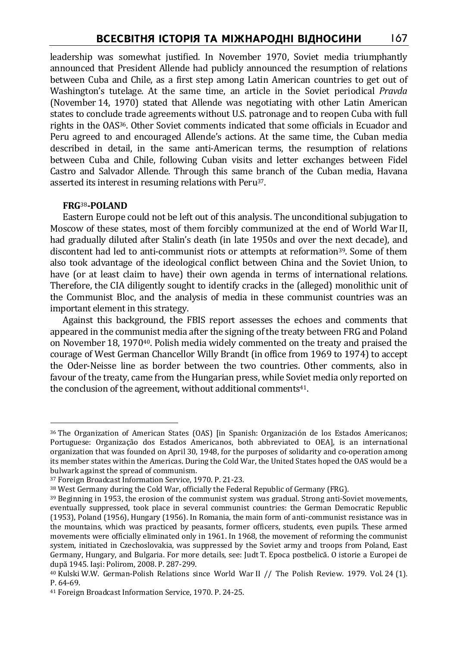leadership was somewhat justified. In November 1970, Soviet media triumphantly announced that President Allende had publicly announced the resumption of relations between Cuba and Chile, as a first step among Latin American countries to get out of Washington's tutelage. At the same time, an article in the Soviet periodical *Pravda* (November 14, 1970) stated that Allende was negotiating with other Latin American states to conclude trade agreements without U.S. patronage and to reopen Cuba with full rights in the OAS36. Other Soviet comments indicated that some officials in Ecuador and Peru agreed to and encouraged Allende's actions. At the same time, the Cuban media described in detail, in the same anti-American terms, the resumption of relations between Cuba and Chile, following Cuban visits and letter exchanges between Fidel Castro and Salvador Allende. Through this same branch of the Cuban media, Havana asserted its interest in resuming relations with Peru37.

# **FRG**38**-POLAND**

 $\overline{a}$ 

Eastern Europe could not be left out of this analysis. The unconditional subjugation to Moscow of these states, most of them forcibly communized at the end of World War II, had gradually diluted after Stalin's death (in late 1950s and over the next decade), and discontent had led to anti-communist riots or attempts at reformation<sup>39</sup>. Some of them also took advantage of the ideological conflict between China and the Soviet Union, to have (or at least claim to have) their own agenda in terms of international relations. Therefore, the CIA diligently sought to identify cracks in the (alleged) monolithic unit of the Communist Bloc, and the analysis of media in these communist countries was an important element in this strategy.

Against this background, the FBIS report assesses the echoes and comments that appeared in the communist media after the signing of the treaty between FRG and Poland on November 18, 197040. Polish media widely commented on the treaty and praised the courage of West German Chancellor Willy Brandt (in office from 1969 to 1974) to accept the Oder-Neisse line as border between the two countries. Other comments, also in favour of the treaty, came from the Hungarian press, while Soviet media only reported on the conclusion of the agreement, without additional comments<sup>41</sup>.

<sup>36</sup> The Organization of American States (OAS) [in Spanish: Organización de los Estados Americanos; Portuguese: Organização dos Estados Americanos, both abbreviated to OEA], is an international organization that was founded on April 30, 1948, for the purposes of solidarity and co-operation among its member states within the Americas. During the Cold War, the United States hoped the OAS would be a bulwark against the spread of communism.

<sup>37</sup> Foreign Broadcast Information Service, 1970. P. 21-23.

<sup>38</sup> West Germany during the Cold War, officially the Federal Republic of Germany (FRG).

 $39$  Beginning in 1953, the erosion of the communist system was gradual. Strong anti-Soviet movements, eventually suppressed, took place in several communist countries: the German Democratic Republic (1953), Poland (1956), Hungary (1956). In Romania, the main form of anti-communist resistance was in the mountains, which was practiced by peasants, former officers, students, even pupils. These armed movements were officially eliminated only in 1961. In 1968, the movement of reforming the communist system, initiated in Czechoslovakia, was suppressed by the Soviet army and troops from Poland, East Germany, Hungary, and Bulgaria. For more details, see: Judt T. Epoca postbelică. O istorie a Europei de după 1945. Iaşi: Polirom, 2008. P. 287-299.

 $40$  Kulski W.W. German-Polish Relations since World War II // The Polish Review. 1979. Vol. 24 (1). P. 64-69.

<sup>41</sup> Foreign Broadcast Information Service, 1970. P. 24-25.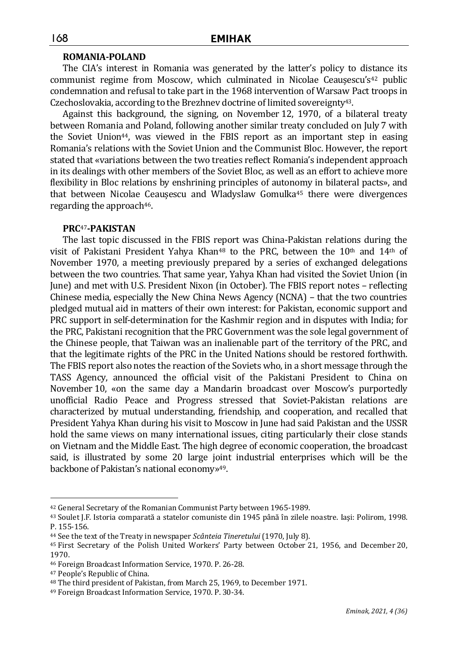### **ROMANIA-POLAND**

The CIA's interest in Romania was generated by the latter's policy to distance its communist regime from Moscow, which culminated in Nicolae Ceaușescu's<sup>42</sup> public condemnation and refusal to take part in the 1968 intervention of Warsaw Pact troops in Czechoslovakia, according to the Brezhnev doctrine of limited sovereignty<sup>43</sup>.

Against this background, the signing, on November 12, 1970, of a bilateral treaty between Romania and Poland, following another similar treaty concluded on July 7 with the Soviet Union44, was viewed in the FBIS report as an important step in easing Romania's relations with the Soviet Union and the Communist Bloc. However, the report stated that «variations between the two treaties reflect Romania's independent approach in its dealings with other members of the Soviet Bloc, as well as an effort to achieve more flexibility in Bloc relations by enshrining principles of autonomy in bilateral pacts», and that between Nicolae Ceaușescu and Wladyslaw Gomulka<sup>45</sup> there were divergences regarding the approach<sup>46</sup>.

### **PRC**47**-PAKISTAN**

The last topic discussed in the FBIS report was China-Pakistan relations during the visit of Pakistani President Yahya Khan<sup>48</sup> to the PRC, between the  $10<sup>th</sup>$  and  $14<sup>th</sup>$  of November 1970, a meeting previously prepared by a series of exchanged delegations between the two countries. That same year, Yahya Khan had visited the Soviet Union (in June) and met with U.S. President Nixon (in October). The FBIS report notes – reflecting Chinese media, especially the New China News Agency (NCNA) – that the two countries pledged mutual aid in matters of their own interest: for Pakistan, economic support and PRC support in self-determination for the Kashmir region and in disputes with India; for the PRC, Pakistani recognition that the PRC Government was the sole legal government of the Chinese people, that Taiwan was an inalienable part of the territory of the PRC, and that the legitimate rights of the PRC in the United Nations should be restored forthwith. The FBIS report also notes the reaction of the Soviets who, in a short message through the TASS Agency, announced the official visit of the Pakistani President to China on November 10, «on the same day a Mandarin broadcast over Moscow's purportedly unofficial Radio Peace and Progress stressed that Soviet-Pakistan relations are characterized by mutual understanding, friendship, and cooperation, and recalled that President Yahya Khan during his visit to Moscow in June had said Pakistan and the USSR hold the same views on many international issues, citing particularly their close stands on Vietnam and the Middle East. The high degree of economic cooperation, the broadcast said, is illustrated by some 20 large joint industrial enterprises which will be the backbone of Pakistan's national economy»49.

<sup>42</sup> General Secretary of the Romanian Communist Party between 1965-1989.

<sup>43</sup> Soulet J.F. Istoria comparată a statelor comuniste din 1945 până în zilele noastre. Iaşi: Polirom, 1998. P. 155-156.

<sup>44</sup> See the text of the Treaty in newspaper *Scânteia Tineretului* (1970, July 8).

<sup>45</sup> First Secretary of the Polish United Workers' Party between October 21, 1956, and December 20, 1970.

<sup>46</sup> Foreign Broadcast Information Service, 1970. P. 26-28.

<sup>47</sup> People's Republic of China.

<sup>48</sup> The third president of Pakistan, from March 25, 1969, to December 1971.

<sup>49</sup> Foreign Broadcast Information Service, 1970. P. 30-34.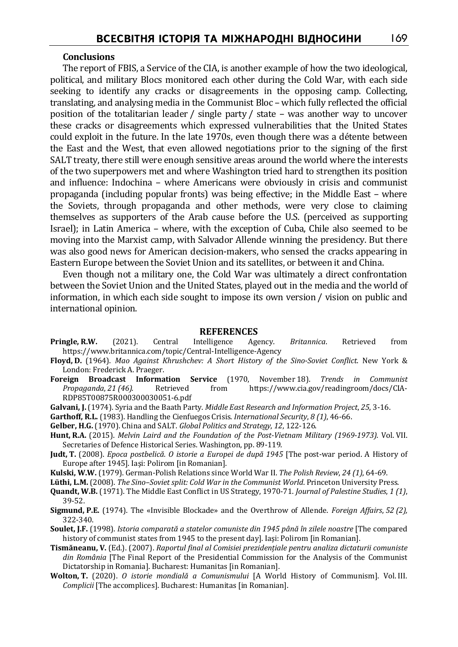### **Conclusions**

The report of FBIS, a Service of the CIA, is another example of how the two ideological, political, and military Blocs monitored each other during the Cold War, with each side seeking to identify any cracks or disagreements in the opposing camp. Collecting, translating, and analysing media in the Communist Bloc – which fully reflected the official position of the totalitarian leader / single party / state – was another way to uncover these cracks or disagreements which expressed vulnerabilities that the United States could exploit in the future. In the late 1970s, even though there was a détente between the East and the West, that even allowed negotiations prior to the signing of the first SALT treaty, there still were enough sensitive areas around the world where the interests of the two superpowers met and where Washington tried hard to strengthen its position and influence: Indochina – where Americans were obviously in crisis and communist propaganda (including popular fronts) was being effective; in the Middle East – where the Soviets, through propaganda and other methods, were very close to claiming themselves as supporters of the Arab cause before the U.S. (perceived as supporting Israel); in Latin America – where, with the exception of Cuba, Chile also seemed to be moving into the Marxist camp, with Salvador Allende winning the presidency. But there was also good news for American decision-makers, who sensed the cracks appearing in Eastern Europe between the Soviet Union and its satellites, or between it and China.

Even though not a military one, the Cold War was ultimately a direct confrontation between the Soviet Union and the United States, played out in the media and the world of information, in which each side sought to impose its own version / vision on public and international opinion.

#### **REFERENCES**

- **Pringle, R.W.** (2021). Central Intelligence Agency. *Britannica*. Retrieved from https://www.britannica.com/topic/Central-Intelligence-Agency
- **Floyd, D.** (1964). *Mao Against Khrushchev: A Short History of the Sino-Soviet Conflict*. New York & London: Frederick A. Praeger.
- **Foreign Broadcast Information Service** (1970, November 18). *Trends in Communist Propaganda*, *21 (46).* Retrieved from https://www.cia.gov/readingroom/docs/CIA-RDP85T00875R000300030051-6.pdf
- **Galvani, J.** (1974). Syria and the Baath Party. *Middle East Research and Information Project*, *25*, 3-16.
- **Garthoff, R.L.** (1983). Handling the Cienfuegos Crisis. *International Security*, *8 (1)*, 46-66.
- **Gelber, H.G.** (1970). China and SALT. *Global Politics and Strategy*, *12*, 122-126.
- **Hunt, R.A.** (2015). *Melvin Laird and the Foundation of the Post-Vietnam Military (1969-1973)*. Vol. VII. Secretaries of Defence Historical Series. Washington, pp. 89-119.
- **Judt, T.** (2008). *Epoca postbelică. O istorie a Europei de după 1945* [The post-war period. A History of Europe after 1945]. Iaşi: Polirom [in Romanian].
- **Kulski, W.W.** (1979). German-Polish Relations since World War II. *The Polish Review*, *24 (1)*, 64-69.
- **Lüthi, L.M.** (2008). *The Sino–Soviet split: Cold War in the Communist World*. Princeton University Press.
- **Quandt, W.B.** (1971). The Middle East Conflict in US Strategy, 1970-71. *Journal of Palestine Studies*, *1 (1)*, 39-52.
- **Sigmund, P.E.** (1974). The «Invisible Blockade» and the Overthrow of Allende. *Foreign Affairs*, *52 (2),* 322-340.
- **Soulet, J.F.** (1998). *Istoria comparată a statelor comuniste din 1945 până în zilele noastre* [The compared history of communist states from 1945 to the present day]. Iaşi: Polirom [in Romanian].
- **Tismăneanu, V.** (Ed.). (2007). *Raportul final al Comisiei prezidențiale pentru analiza dictaturii comuniste din România* [The Final Report of the Presidential Commission for the Analysis of the Communist Dictatorship in Romania]. Bucharest: Humanitas [in Romanian].
- **Wolton, T.** (2020). *O istorie mondială a Comunismului* [A World History of Communism]. Vol. III. *Complicii* [The accomplices]. Bucharest: Humanitas [in Romanian].